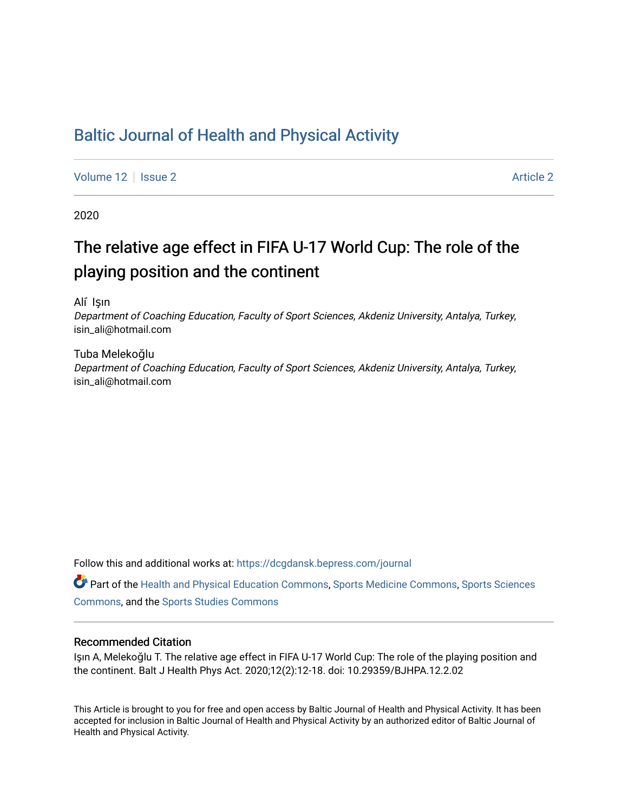### [Baltic Journal of Health and Physical Activity](https://dcgdansk.bepress.com/journal)

[Volume 12](https://dcgdansk.bepress.com/journal/vol12) | [Issue 2](https://dcgdansk.bepress.com/journal/vol12/iss2) Article 2

2020

## The relative age effect in FIFA U-17 World Cup: The role of the playing position and the continent

Ali ̇ Işın

Department of Coaching Education, Faculty of Sport Sciences, Akdeniz University, Antalya, Turkey, isin\_ali@hotmail.com

Tuba Melekoğlu Department of Coaching Education, Faculty of Sport Sciences, Akdeniz University, Antalya, Turkey, isin\_ali@hotmail.com

Follow this and additional works at: [https://dcgdansk.bepress.com/journal](https://dcgdansk.bepress.com/journal?utm_source=dcgdansk.bepress.com%2Fjournal%2Fvol12%2Fiss2%2F2&utm_medium=PDF&utm_campaign=PDFCoverPages)

Part of the [Health and Physical Education Commons](http://network.bepress.com/hgg/discipline/1327?utm_source=dcgdansk.bepress.com%2Fjournal%2Fvol12%2Fiss2%2F2&utm_medium=PDF&utm_campaign=PDFCoverPages), [Sports Medicine Commons,](http://network.bepress.com/hgg/discipline/1331?utm_source=dcgdansk.bepress.com%2Fjournal%2Fvol12%2Fiss2%2F2&utm_medium=PDF&utm_campaign=PDFCoverPages) [Sports Sciences](http://network.bepress.com/hgg/discipline/759?utm_source=dcgdansk.bepress.com%2Fjournal%2Fvol12%2Fiss2%2F2&utm_medium=PDF&utm_campaign=PDFCoverPages) [Commons](http://network.bepress.com/hgg/discipline/759?utm_source=dcgdansk.bepress.com%2Fjournal%2Fvol12%2Fiss2%2F2&utm_medium=PDF&utm_campaign=PDFCoverPages), and the [Sports Studies Commons](http://network.bepress.com/hgg/discipline/1198?utm_source=dcgdansk.bepress.com%2Fjournal%2Fvol12%2Fiss2%2F2&utm_medium=PDF&utm_campaign=PDFCoverPages) 

#### Recommended Citation

Işın A, Melekoğlu T. The relative age effect in FIFA U-17 World Cup: The role of the playing position and the continent. Balt J Health Phys Act. 2020;12(2):12-18. doi: 10.29359/BJHPA.12.2.02

This Article is brought to you for free and open access by Baltic Journal of Health and Physical Activity. It has been accepted for inclusion in Baltic Journal of Health and Physical Activity by an authorized editor of Baltic Journal of Health and Physical Activity.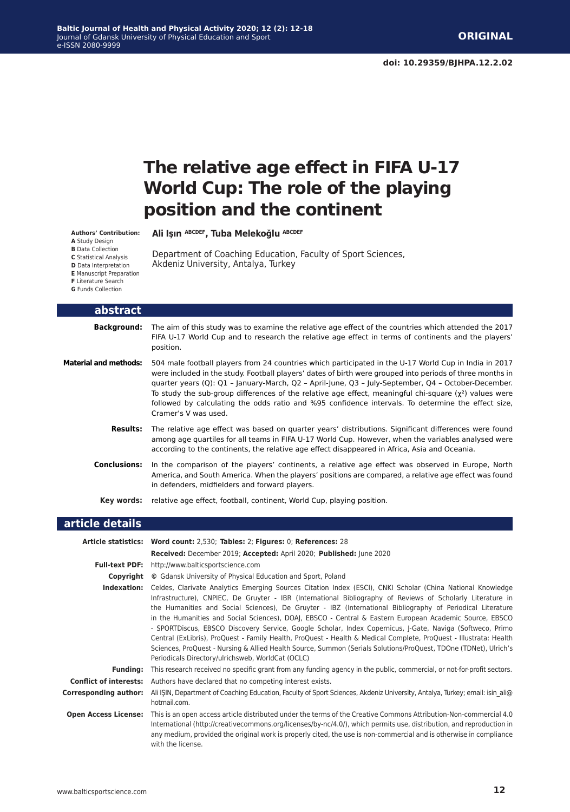# **The relative age effect in FIFA U-17 World Cup: The role of the playing position and the continent**

**Authors' Contribution:**

**Ali̇ Işın ABCDEF, Tuba Melekoğlu ABCDEF**

**A** Study Design **B** Data Collection

**C** Statistical Analysis

Department of Coaching Education, Faculty of Sport Sciences, Akdeniz University, Antalya, Turkey

**D** Data Interpretation

**E** Manuscript Preparation

**F** Literature Search

**G** Funds Collection

| abstract              |                                                                                                                                                                                                                                                                                                                                                                                                                                                                                                                                                                     |
|-----------------------|---------------------------------------------------------------------------------------------------------------------------------------------------------------------------------------------------------------------------------------------------------------------------------------------------------------------------------------------------------------------------------------------------------------------------------------------------------------------------------------------------------------------------------------------------------------------|
|                       | <b>Background:</b> The aim of this study was to examine the relative age effect of the countries which attended the 2017<br>FIFA U-17 World Cup and to research the relative age effect in terms of continents and the players'<br>position.                                                                                                                                                                                                                                                                                                                        |
| Material and methods: | 504 male football players from 24 countries which participated in the U-17 World Cup in India in 2017<br>were included in the study. Football players' dates of birth were grouped into periods of three months in<br>quarter years (Q): Q1 - January-March, Q2 - April-June, Q3 - July-September, Q4 - October-December.<br>To study the sub-group differences of the relative age effect, meaningful chi-square $(y^2)$ values were<br>followed by calculating the odds ratio and %95 confidence intervals. To determine the effect size,<br>Cramer's V was used. |
| Results:              | The relative age effect was based on quarter years' distributions. Significant differences were found<br>among age quartiles for all teams in FIFA U-17 World Cup. However, when the variables analysed were<br>according to the continents, the relative age effect disappeared in Africa, Asia and Oceania.                                                                                                                                                                                                                                                       |
| <b>Conclusions:</b>   | In the comparison of the players' continents, a relative age effect was observed in Europe, North<br>America, and South America. When the players' positions are compared, a relative age effect was found<br>in defenders, midfielders and forward players.                                                                                                                                                                                                                                                                                                        |
| Kev words:            | relative age effect, football, continent, World Cup, playing position.                                                                                                                                                                                                                                                                                                                                                                                                                                                                                              |

#### **article details**

|                               | Article statistics: Word count: 2,530; Tables: 2; Figures: 0; References: 28                                                                                                                                                                                                                                                                                                                                                                                                                                                                                                                                                                                                                                                                                                                                                                                  |  |  |  |  |  |  |
|-------------------------------|---------------------------------------------------------------------------------------------------------------------------------------------------------------------------------------------------------------------------------------------------------------------------------------------------------------------------------------------------------------------------------------------------------------------------------------------------------------------------------------------------------------------------------------------------------------------------------------------------------------------------------------------------------------------------------------------------------------------------------------------------------------------------------------------------------------------------------------------------------------|--|--|--|--|--|--|
|                               | Received: December 2019; Accepted: April 2020; Published: June 2020                                                                                                                                                                                                                                                                                                                                                                                                                                                                                                                                                                                                                                                                                                                                                                                           |  |  |  |  |  |  |
|                               | <b>Full-text PDF:</b> http://www.balticsportscience.com                                                                                                                                                                                                                                                                                                                                                                                                                                                                                                                                                                                                                                                                                                                                                                                                       |  |  |  |  |  |  |
| Copyright                     | © Gdansk University of Physical Education and Sport, Poland                                                                                                                                                                                                                                                                                                                                                                                                                                                                                                                                                                                                                                                                                                                                                                                                   |  |  |  |  |  |  |
| Indexation:                   | Celdes, Clarivate Analytics Emerging Sources Citation Index (ESCI), CNKI Scholar (China National Knowledge<br>Infrastructure), CNPIEC, De Gruyter - IBR (International Bibliography of Reviews of Scholarly Literature in<br>the Humanities and Social Sciences), De Gruyter - IBZ (International Bibliography of Periodical Literature<br>in the Humanities and Social Sciences), DOAJ, EBSCO - Central & Eastern European Academic Source, EBSCO<br>- SPORTDiscus, EBSCO Discovery Service, Google Scholar, Index Copernicus, J-Gate, Naviga (Softweco, Primo<br>Central (ExLibris), ProQuest - Family Health, ProQuest - Health & Medical Complete, ProQuest - Illustrata: Health<br>Sciences, ProQuest - Nursing & Allied Health Source, Summon (Serials Solutions/ProQuest, TDOne (TDNet), Ulrich's<br>Periodicals Directory/ulrichsweb, WorldCat (OCLC) |  |  |  |  |  |  |
| <b>Funding:</b>               | This research received no specific grant from any funding agency in the public, commercial, or not-for-profit sectors.                                                                                                                                                                                                                                                                                                                                                                                                                                                                                                                                                                                                                                                                                                                                        |  |  |  |  |  |  |
| <b>Conflict of interests:</b> | Authors have declared that no competing interest exists.                                                                                                                                                                                                                                                                                                                                                                                                                                                                                                                                                                                                                                                                                                                                                                                                      |  |  |  |  |  |  |
| Corresponding author:         | Ali IŞIN, Department of Coaching Education, Faculty of Sport Sciences, Akdeniz University, Antalya, Turkey; email: isin ali@<br>hotmail.com.                                                                                                                                                                                                                                                                                                                                                                                                                                                                                                                                                                                                                                                                                                                  |  |  |  |  |  |  |
| <b>Open Access License:</b>   | This is an open access article distributed under the terms of the Creative Commons Attribution-Non-commercial 4.0<br>International (http://creativecommons.org/licenses/by-nc/4.0/), which permits use, distribution, and reproduction in<br>any medium, provided the original work is properly cited, the use is non-commercial and is otherwise in compliance<br>with the license.                                                                                                                                                                                                                                                                                                                                                                                                                                                                          |  |  |  |  |  |  |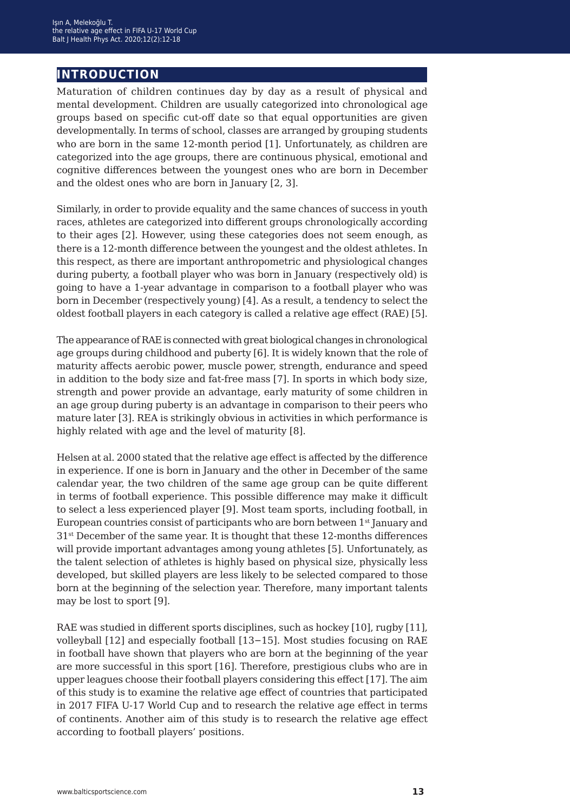### **introduction**

Maturation of children continues day by day as a result of physical and mental development. Children are usually categorized into chronological age groups based on specific cut-off date so that equal opportunities are given developmentally. In terms of school, classes are arranged by grouping students who are born in the same 12-month period [1]. Unfortunately, as children are categorized into the age groups, there are continuous physical, emotional and cognitive differences between the youngest ones who are born in December and the oldest ones who are born in January [2, 3].

Similarly, in order to provide equality and the same chances of success in youth races, athletes are categorized into different groups chronologically according to their ages [2]. However, using these categories does not seem enough, as there is a 12-month difference between the youngest and the oldest athletes. In this respect, as there are important anthropometric and physiological changes during puberty, a football player who was born in January (respectively old) is going to have a 1-year advantage in comparison to a football player who was born in December (respectively young) [4]. As a result, a tendency to select the oldest football players in each category is called a relative age effect (RAE) [5].

The appearance of RAE is connected with great biological changes in chronological age groups during childhood and puberty [6]. It is widely known that the role of maturity affects aerobic power, muscle power, strength, endurance and speed in addition to the body size and fat-free mass [7]. In sports in which body size, strength and power provide an advantage, early maturity of some children in an age group during puberty is an advantage in comparison to their peers who mature later [3]. REA is strikingly obvious in activities in which performance is highly related with age and the level of maturity [8].

Helsen at al. 2000 stated that the relative age effect is affected by the difference in experience. If one is born in January and the other in December of the same calendar year, the two children of the same age group can be quite different in terms of football experience. This possible difference may make it difficult to select a less experienced player [9]. Most team sports, including football, in European countries consist of participants who are born between  $1<sup>st</sup>$  January and 31st December of the same year. It is thought that these 12-months differences will provide important advantages among young athletes [5]. Unfortunately, as the talent selection of athletes is highly based on physical size, physically less developed, but skilled players are less likely to be selected compared to those born at the beginning of the selection year. Therefore, many important talents may be lost to sport [9].

RAE was studied in different sports disciplines, such as hockey [10], rugby [11], volleyball [12] and especially football [13−15]. Most studies focusing on RAE in football have shown that players who are born at the beginning of the year are more successful in this sport [16]. Therefore, prestigious clubs who are in upper leagues choose their football players considering this effect [17]. The aim of this study is to examine the relative age effect of countries that participated in 2017 FIFA U-17 World Cup and to research the relative age effect in terms of continents. Another aim of this study is to research the relative age effect according to football players' positions.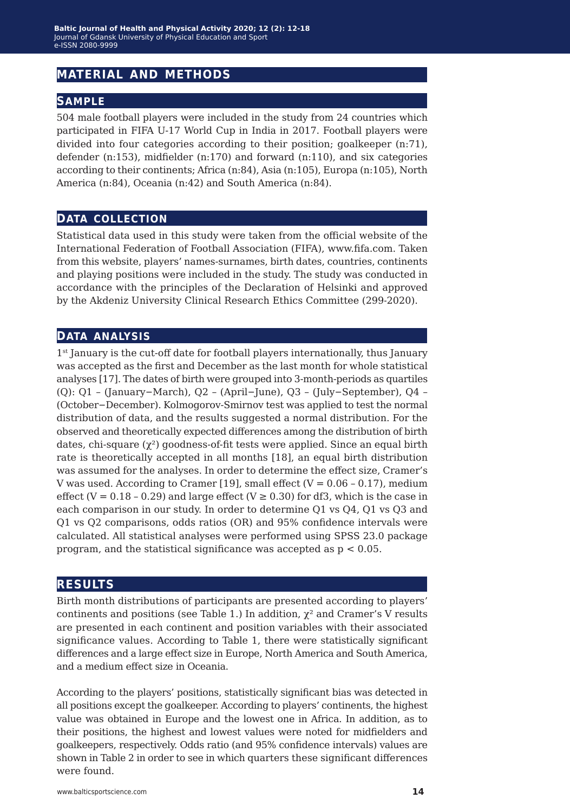#### **material and methods**

#### **sample**

504 male football players were included in the study from 24 countries which participated in FIFA U-17 World Cup in India in 2017. Football players were divided into four categories according to their position; goalkeeper (n:71), defender (n:153), midfielder (n:170) and forward (n:110), and six categories according to their continents; Africa (n:84), Asia (n:105), Europa (n:105), North America (n:84), Oceania (n:42) and South America (n:84).

#### **data collection**

Statistical data used in this study were taken from the official website of the International Federation of Football Association (FIFA), www.fifa.com. Taken from this website, players' names-surnames, birth dates, countries, continents and playing positions were included in the study. The study was conducted in accordance with the principles of the Declaration of Helsinki and approved by the Akdeniz University Clinical Research Ethics Committee (299-2020).

#### **data analysis**

1<sup>st</sup> January is the cut-off date for football players internationally, thus January was accepted as the first and December as the last month for whole statistical analyses [17]. The dates of birth were grouped into 3-month-periods as quartiles (Q): Q1 – (January−March), Q2 – (April−June), Q3 – (July−September), Q4 – (October−December). Kolmogorov-Smirnov test was applied to test the normal distribution of data, and the results suggested a normal distribution. For the observed and theoretically expected differences among the distribution of birth dates, chi-square  $(\chi^2)$  goodness-of-fit tests were applied. Since an equal birth rate is theoretically accepted in all months [18], an equal birth distribution was assumed for the analyses. In order to determine the effect size, Cramer's V was used. According to Cramer [19], small effect  $(V = 0.06 - 0.17)$ , medium effect (V =  $0.18 - 0.29$ ) and large effect (V  $\geq 0.30$ ) for df3, which is the case in each comparison in our study. In order to determine Q1 vs Q4, Q1 vs Q3 and Q1 vs Q2 comparisons, odds ratios (OR) and 95% confidence intervals were calculated. All statistical analyses were performed using SPSS 23.0 package program, and the statistical significance was accepted as  $p < 0.05$ .

#### **results**

Birth month distributions of participants are presented according to players' continents and positions (see Table 1.) In addition,  $\chi^2$  and Cramer's V results are presented in each continent and position variables with their associated significance values. According to Table 1, there were statistically significant differences and a large effect size in Europe, North America and South America, and a medium effect size in Oceania.

According to the players' positions, statistically significant bias was detected in all positions except the goalkeeper. According to players' continents, the highest value was obtained in Europe and the lowest one in Africa. In addition, as to their positions, the highest and lowest values were noted for midfielders and goalkeepers, respectively. Odds ratio (and 95% confidence intervals) values are shown in Table 2 in order to see in which quarters these significant differences were found.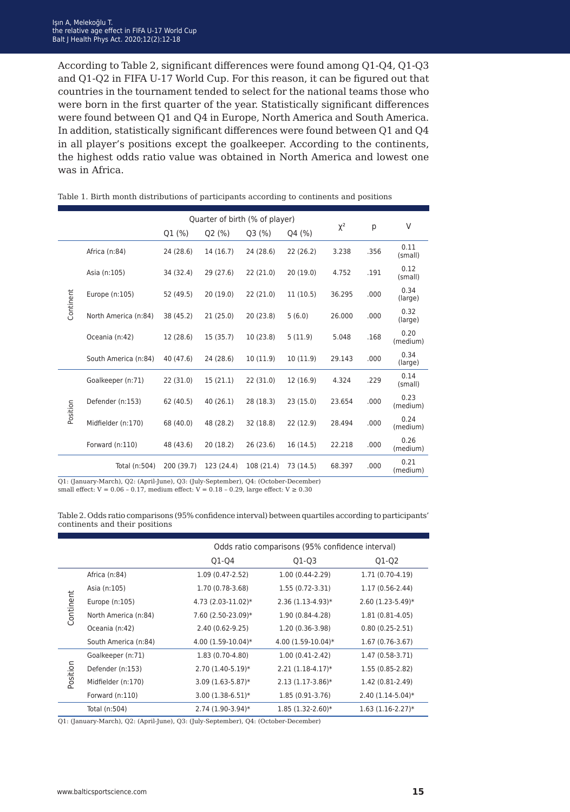According to Table 2, significant differences were found among Q1-Q4, Q1-Q3 and Q1-Q2 in FIFA U-17 World Cup. For this reason, it can be figured out that countries in the tournament tended to select for the national teams those who were born in the first quarter of the year. Statistically significant differences were found between Q1 and Q4 in Europe, North America and South America. In addition, statistically significant differences were found between Q1 and Q4 in all player's positions except the goalkeeper. According to the continents, the highest odds ratio value was obtained in North America and lowest one was in Africa.

|           |                      |            |            | Quarter of birth (% of player) |           | $\chi^2$<br>p |      | V                |
|-----------|----------------------|------------|------------|--------------------------------|-----------|---------------|------|------------------|
|           |                      | Q1 (%)     | Q2(%)      | Q3(%)                          | Q4 (%)    |               |      |                  |
| Continent | Africa (n:84)        | 24 (28.6)  | 14 (16.7)  | 24 (28.6)                      | 22(26.2)  | 3.238         | .356 | 0.11<br>(small)  |
|           | Asia (n:105)         | 34 (32.4)  | 29(27.6)   | 22(21.0)                       | 20(19.0)  | 4.752         | .191 | 0.12<br>(small)  |
|           | Europe (n:105)       | 52 (49.5)  | 20(19.0)   | 22(21.0)                       | 11(10.5)  | 36.295        | .000 | 0.34<br>(large)  |
|           | North America (n:84) | 38 (45.2)  | 21(25.0)   | 20(23.8)                       | 5(6.0)    | 26.000        | .000 | 0.32<br>(large)  |
|           | Oceania (n:42)       | 12 (28.6)  | 15(35.7)   | 10(23.8)                       | 5(11.9)   | 5.048         | .168 | 0.20<br>(medium) |
|           | South America (n:84) | 40 (47.6)  | 24 (28.6)  | 10(11.9)                       | 10(11.9)  | 29.143        | .000 | 0.34<br>(large)  |
| Position  | Goalkeeper (n:71)    | 22(31.0)   | 15(21.1)   | 22(31.0)                       | 12 (16.9) | 4.324         | .229 | 0.14<br>(small)  |
|           | Defender (n:153)     | 62 (40.5)  | 40(26.1)   | 28 (18.3)                      | 23(15.0)  | 23.654        | .000 | 0.23<br>(medium) |
|           | Midfielder (n:170)   | 68 (40.0)  | 48 (28.2)  | 32 (18.8)                      | 22 (12.9) | 28.494        | .000 | 0.24<br>(medium) |
|           | Forward (n:110)      | 48 (43.6)  | 20(18.2)   | 26(23.6)                       | 16 (14.5) | 22.218        | .000 | 0.26<br>(medium) |
|           | Total (n:504)        | 200 (39.7) | 123 (24.4) | 108 (21.4)                     | 73 (14.5) | 68.397        | .000 | 0.21<br>(medium) |

Table 1. Birth month distributions of participants according to continents and positions

Q1: (January-March), Q2: (April-June), Q3: (July-September), Q4: (October-December) small effect:  $V = 0.06 - 0.17$ , medium effect:  $V = 0.18 - 0.29$ , large effect:  $V ≥ 0.30$ 

Table 2. Odds ratio comparisons (95% confidence interval) between quartiles according to participants' continents and their positions

|           |                      |                      | Odds ratio comparisons (95% confidence interval) |                     |  |  |  |  |
|-----------|----------------------|----------------------|--------------------------------------------------|---------------------|--|--|--|--|
|           |                      | Q1-Q4                | $Q1-Q3$                                          | Q1-Q2               |  |  |  |  |
| Continent | Africa (n:84)        | $1.09(0.47-2.52)$    | $1.00(0.44-2.29)$                                | 1.71 (0.70-4.19)    |  |  |  |  |
|           | Asia (n:105)         | 1.70 (0.78-3.68)     | $1.55(0.72-3.31)$                                | $1.17(0.56-2.44)$   |  |  |  |  |
|           | Europe (n:105)       | 4.73 (2.03-11.02)*   | $2.36(1.13-4.93)*$                               | $2.60(1.23-5.49)$ * |  |  |  |  |
|           | North America (n:84) | 7.60 (2.50-23.09)*   | 1.90 (0.84-4.28)                                 | $1.81(0.81-4.05)$   |  |  |  |  |
|           | Oceania (n:42)       | 2.40 (0.62-9.25)     | 1.20 (0.36-3.98)                                 | $0.80(0.25-2.51)$   |  |  |  |  |
|           | South America (n:84) | $4.00(1.59-10.04)$ * | $4.00(1.59-10.04)$ *                             | $1.67(0.76-3.67)$   |  |  |  |  |
| noition   | Goalkeeper (n:71)    | 1.83 (0.70-4.80)     | $1.00(0.41-2.42)$                                | 1.47 (0.58-3.71)    |  |  |  |  |
|           | Defender (n:153)     | 2.70 (1.40-5.19)*    | $2.21(1.18-4.17)*$                               | 1.55 (0.85-2.82)    |  |  |  |  |
|           | Midfielder (n:170)   | $3.09(1.63-5.87)$ *  | $2.13(1.17-3.86)$ *                              | 1.42 (0.81-2.49)    |  |  |  |  |
|           | Forward $(n:110)$    | $3.00(1.38-6.51)*$   | 1.85 (0.91-3.76)                                 | $2.40(1.14-5.04)*$  |  |  |  |  |
|           | Total (n:504)        | $2.74(1.90-3.94)$ *  | $1.85(1.32-2.60)*$                               | $1.63(1.16-2.27)*$  |  |  |  |  |

Q1: (January-March), Q2: (April-June), Q3: (July-September), Q4: (October-December)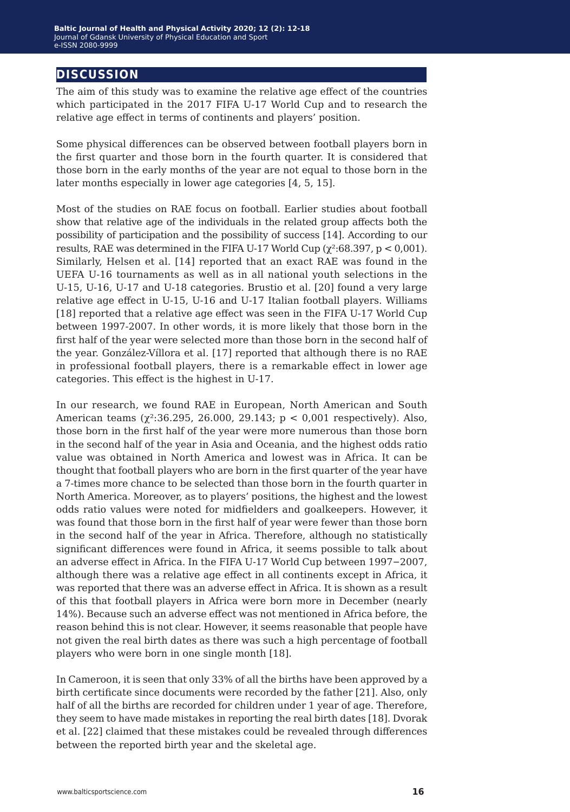#### **discussion**

The aim of this study was to examine the relative age effect of the countries which participated in the 2017 FIFA U-17 World Cup and to research the relative age effect in terms of continents and players' position.

Some physical differences can be observed between football players born in the first quarter and those born in the fourth quarter. It is considered that those born in the early months of the year are not equal to those born in the later months especially in lower age categories [4, 5, 15].

Most of the studies on RAE focus on football. Earlier studies about football show that relative age of the individuals in the related group affects both the possibility of participation and the possibility of success [14]. According to our results, RAE was determined in the FIFA U-17 World Cup ( $\gamma^2$ :68.397, p < 0,001). Similarly, Helsen et al. [14] reported that an exact RAE was found in the UEFA U-16 tournaments as well as in all national youth selections in the U-15, U-16, U-17 and U-18 categories. Brustio et al. [20] found a very large relative age effect in U-15, U-16 and U-17 Italian football players. Williams [18] reported that a relative age effect was seen in the FIFA U-17 World Cup between 1997-2007. In other words, it is more likely that those born in the first half of the year were selected more than those born in the second half of the year. González-Víllora et al. [17] reported that although there is no RAE in professional football players, there is a remarkable effect in lower age categories. This effect is the highest in U-17.

In our research, we found RAE in European, North American and South American teams ( $\chi^2$ :36.295, 26.000, 29.143;  $p < 0.001$  respectively). Also, those born in the first half of the year were more numerous than those born in the second half of the year in Asia and Oceania, and the highest odds ratio value was obtained in North America and lowest was in Africa. It can be thought that football players who are born in the first quarter of the year have a 7-times more chance to be selected than those born in the fourth quarter in North America. Moreover, as to players' positions, the highest and the lowest odds ratio values were noted for midfielders and goalkeepers. However, it was found that those born in the first half of year were fewer than those born in the second half of the year in Africa. Therefore, although no statistically significant differences were found in Africa, it seems possible to talk about an adverse effect in Africa. In the FIFA U-17 World Cup between 1997−2007, although there was a relative age effect in all continents except in Africa, it was reported that there was an adverse effect in Africa. It is shown as a result of this that football players in Africa were born more in December (nearly 14%). Because such an adverse effect was not mentioned in Africa before, the reason behind this is not clear. However, it seems reasonable that people have not given the real birth dates as there was such a high percentage of football players who were born in one single month [18].

In Cameroon, it is seen that only 33% of all the births have been approved by a birth certificate since documents were recorded by the father [21]. Also, only half of all the births are recorded for children under 1 year of age. Therefore, they seem to have made mistakes in reporting the real birth dates [18]. Dvorak et al. [22] claimed that these mistakes could be revealed through differences between the reported birth year and the skeletal age.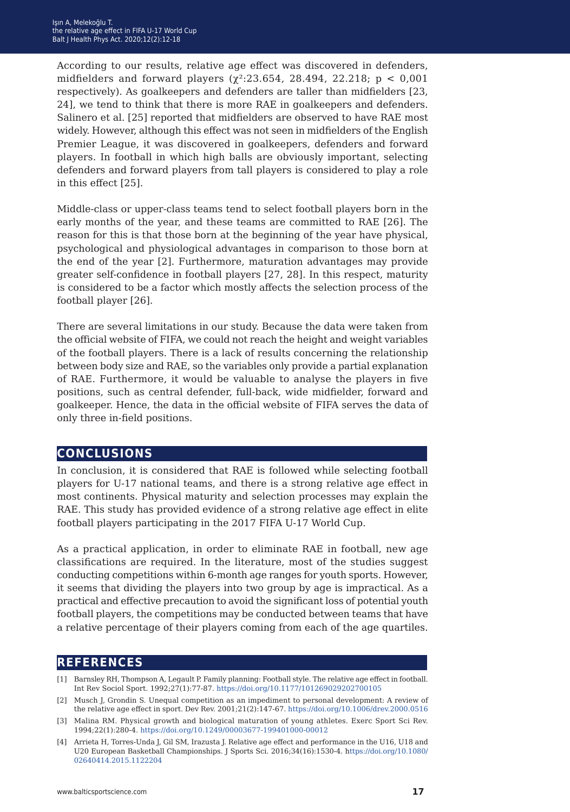According to our results, relative age effect was discovered in defenders, midfielders and forward players ( $\chi^2$ :23.654, 28.494, 22.218; p < 0,001 respectively). As goalkeepers and defenders are taller than midfielders [23, 24], we tend to think that there is more RAE in goalkeepers and defenders. Salinero et al. [25] reported that midfielders are observed to have RAE most widely. However, although this effect was not seen in midfielders of the English Premier League, it was discovered in goalkeepers, defenders and forward players. In football in which high balls are obviously important, selecting defenders and forward players from tall players is considered to play a role in this effect [25].

Middle-class or upper-class teams tend to select football players born in the early months of the year, and these teams are committed to RAE [26]. The reason for this is that those born at the beginning of the year have physical, psychological and physiological advantages in comparison to those born at the end of the year [2]. Furthermore, maturation advantages may provide greater self-confidence in football players [27, 28]. In this respect, maturity is considered to be a factor which mostly affects the selection process of the football player [26].

There are several limitations in our study. Because the data were taken from the official website of FIFA, we could not reach the height and weight variables of the football players. There is a lack of results concerning the relationship between body size and RAE, so the variables only provide a partial explanation of RAE. Furthermore, it would be valuable to analyse the players in five positions, such as central defender, full-back, wide midfielder, forward and goalkeeper. Hence, the data in the official website of FIFA serves the data of only three in-field positions.

#### **conclusions**

In conclusion, it is considered that RAE is followed while selecting football players for U-17 national teams, and there is a strong relative age effect in most continents. Physical maturity and selection processes may explain the RAE. This study has provided evidence of a strong relative age effect in elite football players participating in the 2017 FIFA U-17 World Cup.

As a practical application, in order to eliminate RAE in football, new age classifications are required. In the literature, most of the studies suggest conducting competitions within 6-month age ranges for youth sports. However, it seems that dividing the players into two group by age is impractical. As a practical and effective precaution to avoid the significant loss of potential youth football players, the competitions may be conducted between teams that have a relative percentage of their players coming from each of the age quartiles.

#### **references**

<sup>[1]</sup> Barnsley RH, Thompson A, Legault P. Family planning: Football style. The relative age effect in football. Int Rev Sociol Sport. 1992;27(1):77-87. <https://doi.org/10.1177/101269029202700105>

<sup>[2]</sup> Musch J, Grondin S. Unequal competition as an impediment to personal development: A review of the relative age effect in sport. Dev Rev. 2001;21(2):147-67. [https://doi.org/10.1006/drev.2000.0516](https://doi.org/10.1006/drev.2000.0516
)

<sup>[3]</sup> Malina RM. Physical growth and biological maturation of young athletes. Exerc Sport Sci Rev. 1994;22(1):280-4. <https://doi.org/10.1249/00003677-199401000-00012>

<sup>[4]</sup> Arrieta H, Torres-Unda J, Gil SM, Irazusta J. Relative age effect and performance in the U16, U18 and U20 European Basketball Championships. J Sports Sci. 2016;34(16):1530-4. h[ttps://doi.org/10.1080/](ttps://doi.org/10.1080/02640414.2015.1122204) [02640414.2015.1122204](ttps://doi.org/10.1080/02640414.2015.1122204)